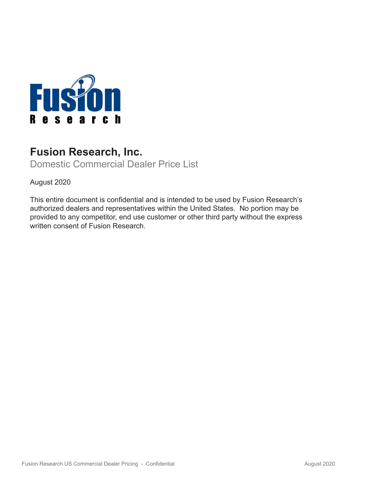

# **Fusion Research, Inc.**

Domestic Commercial Dealer Price List

August 2020

This entire document is confidential and is intended to be used by Fusion Research's authorized dealers and representatives within the United States. No portion may be provided to any competitor, end use customer or other third party without the express written consent of Fusion Research.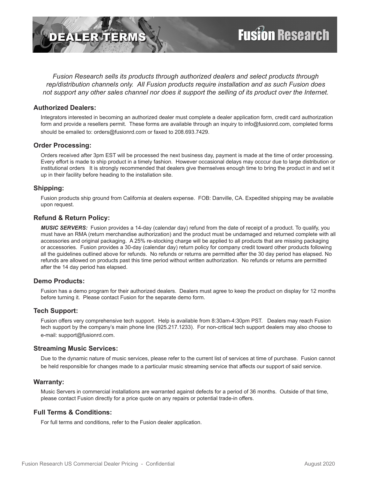

*Fusion Research sells its products through authorized dealers and select products through rep/distribution channels only. All Fusion products require installation and as such Fusion does not support any other sales channel nor does it support the selling of its product over the Internet.*

#### **Authorized Dealers:**

Integrators interested in becoming an authorized dealer must complete a dealer application form, credit card authorization form and provide a resellers permit. These forms are available through an inquiry to info@fusionrd.com, completed forms should be emailed to: orders@fusionrd.com or faxed to 208.693.7429.

#### **Order Processing:**

Orders received after 3pm EST will be processed the next business day, payment is made at the time of order processing. Every effort is made to ship product in a timely fashion. However occasional delays may occcur due to large distribution or institutional orders It is strongly recommended that dealers give themselves enough time to bring the product in and set it up in their facility before heading to the installation site.

# **Shipping:**

Fusion products ship ground from California at dealers expense. FOB: Danville, CA. Expedited shipping may be available upon request.

#### **Refund & Return Policy:**

*MUSIC SERVERS:* Fusion provides a 14-day (calendar day) refund from the date of receipt of a product. To qualify, you must have an RMA (return merchandise authorization) and the product must be undamaged and returned complete with all accessories and original packaging. A 25% re-stocking charge will be applied to all products that are missing packaging or accessories. Fusion provides a 30-day (calendar day) return policy for company credit toward other products following all the guidelines outlined above for refunds. No refunds or returns are permitted after the 30 day period has elapsed. No refunds are allowed on products past this time period without written authorization. No refunds or returns are permitted after the 14 day period has elapsed.

# **Demo Products:**

Fusion has a demo program for their authorized dealers. Dealers must agree to keep the product on display for 12 months before turning it. Please contact Fusion for the separate demo form.

#### **Tech Support:**

Fusion offers very comprehensive tech support. Help is available from 8:30am-4:30pm PST. Dealers may reach Fusion tech support by the company's main phone line (925.217.1233). For non-critical tech support dealers may also choose to e-mail: support@fusionrd.com.

#### **Streaming Music Services:**

Due to the dynamic nature of music services, please refer to the current list of services at time of purchase. Fusion cannot be held responsible for changes made to a particular music streaming service that affects our support of said service.

#### **Warranty:**

Music Servers in commercial installations are warranted against defects for a period of 36 months. Outside of that time, please contact Fusion directly for a price quote on any repairs or potential trade-in offers.

# **Full Terms & Conditions:**

For full terms and conditions, refer to the Fusion dealer application.